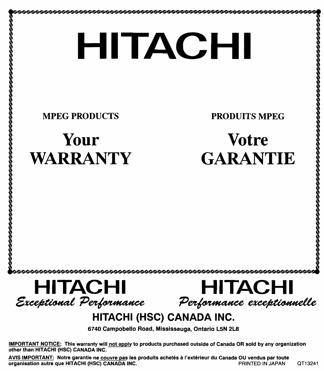**00000000000000000** 

MPEG PRODUCTS

4

,

, , ,

# **Your WARRANTY**

PRODUITS MPEG

# **Votre GARANTIE**

**HITACHI**   $\begin{array}{c} \textcolor{red}{\textbf{HITACH}} \ \textcolor{red}{\textcolor{red}{\textbf{E}}} \ \textcolor{red}{\textbf{E}} \ \textcolor{red}{\textcolor{red}{\textbf{E}}} \ \textcolor{red}{\textbf{E}} \ \textcolor{red}{\textbf{E}} \ \textcolor{red}{\textbf{E}} \ \textcolor{red}{\textbf{E}} \ \textcolor{red}{\textbf{E}} \ \textcolor{red}{\textbf{E}} \ \textcolor{red}{\textbf{E}} \ \textcolor{red}{\textbf{E}} \ \textcolor{red}{\textbf{E}} \ \textcolor{red}{\textbf{E}} \ \textcolor{red}{\textbf{E}} \ \textcolor$ **HITACHI**  Performance exceptionnelle

## **HITACHI (HSC) CANADA INC.**

6740 Campobello Road, Mississauga, Ontario LSN 2L8

IMPORTANT NOTICE: This warranty will not apply to products purchased outside of Canada OR sold by any organization other than HITACHI (HSC) CANADA INC.

AVIS IMPORTANT: Notre garantie ne couvre pas les produits achetés à l'extérieur du Canada OU vendus par toute<br>Organisation autre que HITACHI (HSC) CANADA INC. organisation autre que HITACHI (HSC) CANADA INC. **Example 2018 2018** PRINTED IN JAPAN QT13241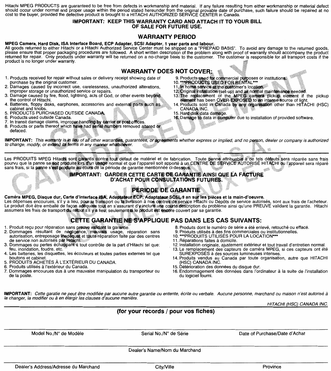Hitachi MPEG PRODUCTS are guaranteed to be free from defects in workmanship and material. If any failure resulting from either workmanship or material defect should occur under normal and proper usage within the period stated hereunder from the original provable date of purchase, such failure should be repaired at no<br>cost to the buyer, provided the defective product is brought

#### **IMPORTANT: KEEP THIS WARRANTY CARD AND ATTACH IT TO YOUR BILL OF SALE FOR FUTURE USE.**

### **WARRANTY PERIOD**

### **MPEG Camera, Hard Disk, ISA Interface Board, ECP Adapter, SCSI Adapter, 1 year parts and labour.**

Ali goods returned to either Hitachi or a Hitachi Authorized Service Center must be shipped on a "PREPAID BASIS". To avoid any damage to the returned goods, please ensure that proper packaging procedures are followed. **A** short written description of the problem along with proof of warranty should accompany the product returned for repair. Only products under warranty will be returned on a no-charge basis to the customer. The customer is responsible for all transport costs if the product is no longer under warranty.

### **WARRANTY DOES NOT COVER:**

- 1. Products received for repair without sales or delivery receipt showing date of purchase by the original customer.
- **2. Damages caused by incorrect use, carelessness, unauthorized alterations, improper storage or unauthorized service or repalrs.**
- 3. Damage caused by fire, flood, lightning, acts of God, or other events beyond the control of Hitachi.
- 4. Batteries, floppy disks, earphones, accessories and external parts such as<br>cabinet and knobs.<br>5. PRODUCTS PURCHASED OUTSIDE CANADA.
- 
- 
- 6. Products used outside Canada.<br>7. In transit damage claims, improper handling by carrier or post offices.<br>8. Products or parts thereof which have had serial numbers removed altered or
- defaced.
- 9. Products used for commercial purposes or institutions.
- 10. \*\*\* PRODUCTS USED FOR RENTAL\*\*\*
- 11. In home service at the customer's location.
- 
- 12. Original installation (set-up) and all normal maintenance needed.<br>13. The replacement of the MPEG camera pickup element if the pickup<br>element has been OVER-EXPOSED to an intense source of light.
- Products sold in Canada by any organisation other than HITACHI (HSC) CANADA INC.
- 15. Hard disk data damage.
- 16. Damage to data in computer due to installation of provided software.

IMPORTANT: This warranty is in lieu of all other warranties, guarantees, or agreements whether express or implied, and no person, dealer or company is authorized to change, modify, or extend its terms in any manner whatsoever.

'a réparée sans frais<br>l'appareil sera réparé

#### **IMPORTANT: GARDER CETTE CARTE DE GARANTIE AINSI QUE LA FACTURE D'ACHAT POUR CONSULTATIONS FUTURES**

## PÉRIODE DE GARANTIE

#### Caméra MPEG, Disque dur, Carte d'interface ISA, Adaptateur ECP, Adaptateur SCSI, 1 an sur les pièces et la main-d'oeuvre.

Les dépenses encourues, s'il y a lieu, pour le transport ou la livraison à nos centres de service Hitachi ou Dépôts de service autorisés, sont aux frais de l'acheteur. Le produit doit être emballé de faço**n adéquate tout en s'assurant d'y inclure une courte descr**iption du problème ainsi qu'une PREUVE validant la garantie. Hitachi<br>assumera les frais de transpor**t du retour s'il y a lieu** 

## CETTE GARANTIE NE S'APPLIQUE PAS DANS LES CAS SUIVANTS:

- 1. Produit reçu pour réparation sans preuve validant la garantie
- 2. Dommages résultant de négligence, mauvais usage, réparation sans autorisation, entreposage inadéquat et toute réparation faite par des centres de service non autorisés par Hitachi.
- Dommages ou pertes échappant à tout contrôle de la part d'Hitachi tel que: **feu, inondation, foudre, etc.**
- Les batteries, les disquettes, les écouteurs et toutes parties externes tel que boutons et cabinet.
- 5. PRODUITS ACHETÉS À L'EXTÉRIEUR DU CANADA.<br>6. Produits utilisés à l'extérieur du Canada.
- Produits utilisés à l'extérieur du Canada.
- **7. Dommages encourues dus à une mauvaise manipulation du transporteur ou**  de la poste.
- **8. Produits dont le numéro de série a été enlevé, retouché ou effacé.**
- 
- 10. \*\*\* PRODUITS UTILISÉS POUR LA LOCATION\*\*\*
- 
- 11. Réparations faites à domicile.<br>12. Installation originale, ajustement extérieur et tout travail d'entretien normal.
- 13. Le remplacement des capteurs de caméra MPEG, si ces capteurs ont été SUREXPOSES à des sources lumineuses intenses.
- 14. Produits vendus au Canada par toute organisation, autre que HITACHI
- 15. Détérioration des données du disque dur.
- 16. Endommagement des données dans l'ordinateur à la suite de l'installation du logiciel fourni.

**IMPORTANT:** Cette garatie ne peut être modifiée par aucune autre garantie ou entente, écrite ou verbale. Aucune personne, marchand ou maison n'est autorisé à **la changer, la modifier ou** *à* **en élargir les clauses d'aucune manière.** 

HITACHI (HSC) CANADA INC.

## **(for your records / pour vos fiches)**

Madel No./N° de Modèle Serial No./N° de Série Date of Purchase/Date d'Achat

Dealer's Name/Nom du Marchand

Dealer's Address/Adresse du Marchand City/Ville City/Ville **City/Ville**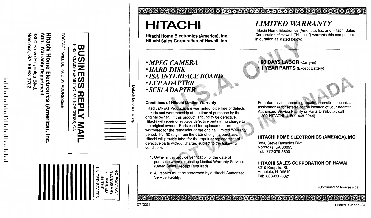Attn: 3890 Steve Reynolds Blvd Norcross Warranty 6A 30093-9702 Department

Hitachi Home Electronics (America), Inc

| くにくこ<br>:<br>?<br>?<br>ì |  |
|--------------------------|--|
| <b>CCOUNTY</b>           |  |

| I           |  |
|-------------|--|
| c<br>C<br>り |  |
|             |  |
|             |  |
| D<br>Ξ      |  |
| Ξ           |  |
| I<br>I      |  |
| П           |  |
|             |  |
|             |  |
|             |  |
|             |  |
|             |  |
|             |  |
| j           |  |
|             |  |
|             |  |

| UNITED STATE<br>NO POSTAGI<br><b>NECESSARY</b><br><b>IF MAILED</b><br><b>NTHE</b> |  |
|-----------------------------------------------------------------------------------|--|

# **HITACHI**

Hitachi Home Electronics (America), Inc. Hitachi Sales Corporation of Hawaii, Inc.

## • MPEG CAMERA **• HARD DISK • ISA INTERFACE BOARD**  $\cdot$ ECP ADAPTER **SCSI ADAPTER**

## **Conditions of Hitachi Limited Warranty**

Hitachi MPEG Products are warranted to be free of defects in parts and workmanship at the time of purchase by the original owner. If this product is found to be defective, Hitachi will repair or replace defective parts at no charge to the original owner. Parts used for replacement are warranted for the remainder of the original Limited Warranty period. For 90 days from the date of original purchase, Hitachi will provide labor for the repair or replacement of defective parts without charge, subject to the following conditions:

- 1. Owner must provide verification of the date of purchase when requesting Limited Warranty Service. (Dated Sales Receipt Required)
- 2. All repairs must be performed by a Hitachi Authorized Service Facility.

## **LIMITED WARRANTY**

Hitachi Home Electronics (America), Inc. and Hitachi Sales Corporation of Hawaii ("Hitachi,") warrants this component in duration as stated below:

90 DAYS LABOR (Carry-in) **1 YEAR PARTS (Except Battery)** 

For information concerning repairs, operation, technical assistance or for referral to the location of your nearest Authorized Service Facility or Parts Distributor, call  $-800$ -HITACHI (1-800-448-2244)

## HITACHI HOME ELECTRONICS (AMERICA), INC.

3890 Steve Reynolds Blvd. Norcross, GA 30093 Tel: 770-279-5600

## HITACHI SALES CORPORATION OF HAWAII

3219 Koapaka St. Honolulu, HI 96819 Tel: 808-836-3621

(Continued on reverse side)

## 

Detach

**before** 

e mailing

Printed in Japan (A)